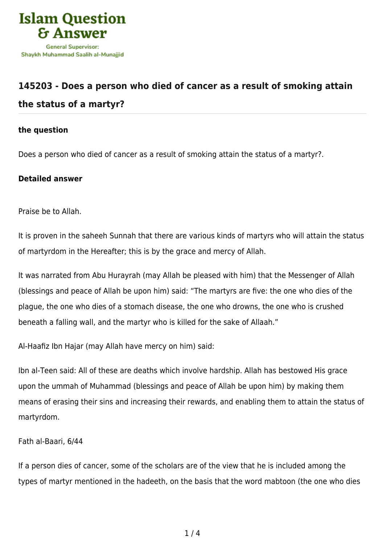

## **[145203 - Does a person who died of cancer as a result of smoking attain](https://islamqa.com/en/answers/145203/does-a-person-who-died-of-cancer-as-a-result-of-smoking-attain-the-status-of-a-martyr) [the status of a martyr?](https://islamqa.com/en/answers/145203/does-a-person-who-died-of-cancer-as-a-result-of-smoking-attain-the-status-of-a-martyr)**

## **the question**

Does a person who died of cancer as a result of smoking attain the status of a martyr?.

## **Detailed answer**

Praise be to Allah.

It is proven in the saheeh Sunnah that there are various kinds of martyrs who will attain the status of martyrdom in the Hereafter; this is by the grace and mercy of Allah.

It was narrated from Abu Hurayrah (may Allah be pleased with him) that the Messenger of Allah (blessings and peace of Allah be upon him) said: "The martyrs are five: the one who dies of the plague, the one who dies of a stomach disease, the one who drowns, the one who is crushed beneath a falling wall, and the martyr who is killed for the sake of Allaah."

Al-Haafiz Ibn Hajar (may Allah have mercy on him) said:

Ibn al-Teen said: All of these are deaths which involve hardship. Allah has bestowed His grace upon the ummah of Muhammad (blessings and peace of Allah be upon him) by making them means of erasing their sins and increasing their rewards, and enabling them to attain the status of martyrdom.

Fath al-Baari, 6/44

If a person dies of cancer, some of the scholars are of the view that he is included among the types of martyr mentioned in the hadeeth, on the basis that the word mabtoon (the one who dies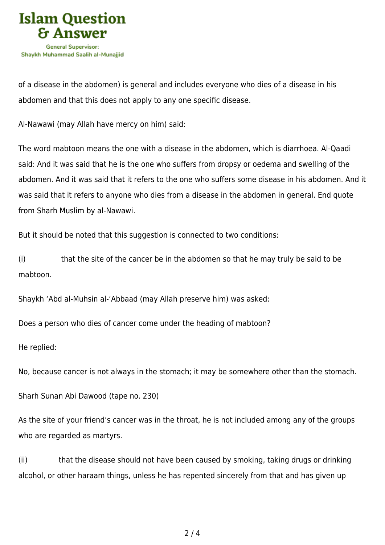

of a disease in the abdomen) is general and includes everyone who dies of a disease in his abdomen and that this does not apply to any one specific disease.

Al-Nawawi (may Allah have mercy on him) said:

The word mabtoon means the one with a disease in the abdomen, which is diarrhoea. Al-Qaadi said: And it was said that he is the one who suffers from dropsy or oedema and swelling of the abdomen. And it was said that it refers to the one who suffers some disease in his abdomen. And it was said that it refers to anyone who dies from a disease in the abdomen in general. End quote from Sharh Muslim by al-Nawawi.

But it should be noted that this suggestion is connected to two conditions:

(i) that the site of the cancer be in the abdomen so that he may truly be said to be mabtoon.

Shaykh 'Abd al-Muhsin al-'Abbaad (may Allah preserve him) was asked:

Does a person who dies of cancer come under the heading of mabtoon?

He replied:

No, because cancer is not always in the stomach; it may be somewhere other than the stomach.

Sharh Sunan Abi Dawood (tape no. 230)

As the site of your friend's cancer was in the throat, he is not included among any of the groups who are regarded as martyrs.

(ii) that the disease should not have been caused by smoking, taking drugs or drinking alcohol, or other haraam things, unless he has repented sincerely from that and has given up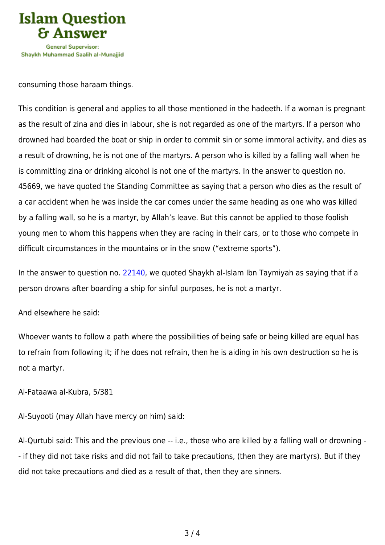

consuming those haraam things.

This condition is general and applies to all those mentioned in the hadeeth. If a woman is pregnant as the result of zina and dies in labour, she is not regarded as one of the martyrs. If a person who drowned had boarded the boat or ship in order to commit sin or some immoral activity, and dies as a result of drowning, he is not one of the martyrs. A person who is killed by a falling wall when he is committing zina or drinking alcohol is not one of the martyrs. In the answer to question no. 45669, we have quoted the Standing Committee as saying that a person who dies as the result of a car accident when he was inside the car comes under the same heading as one who was killed by a falling wall, so he is a martyr, by Allah's leave. But this cannot be applied to those foolish young men to whom this happens when they are racing in their cars, or to those who compete in difficult circumstances in the mountains or in the snow ("extreme sports").

In the answer to question no. [22140](https://islamqa.com/en/answers/22140), we quoted Shaykh al-Islam Ibn Taymiyah as saying that if a person drowns after boarding a ship for sinful purposes, he is not a martyr.

And elsewhere he said:

Whoever wants to follow a path where the possibilities of being safe or being killed are equal has to refrain from following it; if he does not refrain, then he is aiding in his own destruction so he is not a martyr.

Al-Fataawa al-Kubra, 5/381

Al-Suyooti (may Allah have mercy on him) said:

Al-Qurtubi said: This and the previous one -- i.e., those who are killed by a falling wall or drowning - - if they did not take risks and did not fail to take precautions, (then they are martyrs). But if they did not take precautions and died as a result of that, then they are sinners.